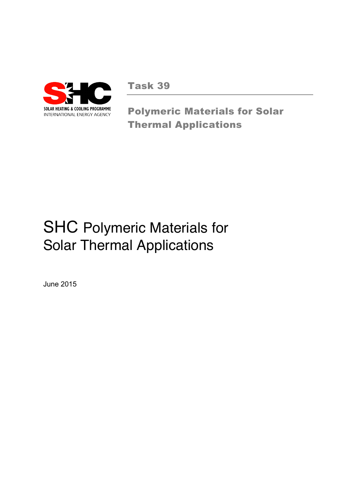

Task 39

Polymeric Materials for Solar Thermal Applications

# SHC Polymeric Materials for Solar Thermal Applications

June 2015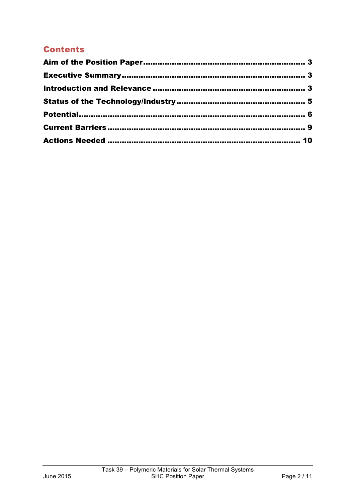# **Contents**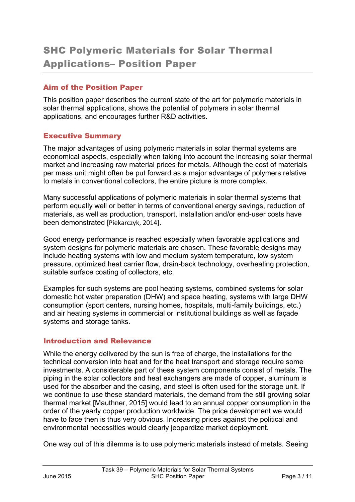#### Aim of the Position Paper

This position paper describes the current state of the art for polymeric materials in solar thermal applications, shows the potential of polymers in solar thermal applications, and encourages further R&D activities.

#### Executive Summary

The major advantages of using polymeric materials in solar thermal systems are economical aspects, especially when taking into account the increasing solar thermal market and increasing raw material prices for metals. Although the cost of materials per mass unit might often be put forward as a major advantage of polymers relative to metals in conventional collectors, the entire picture is more complex.

Many successful applications of polymeric materials in solar thermal systems that perform equally well or better in terms of conventional energy savings, reduction of materials, as well as production, transport, installation and/or end-user costs have been demonstrated [Piekarczyk, 2014].

Good energy performance is reached especially when favorable applications and system designs for polymeric materials are chosen. These favorable designs may include heating systems with low and medium system temperature, low system pressure, optimized heat carrier flow, drain-back technology, overheating protection, suitable surface coating of collectors, etc.

Examples for such systems are pool heating systems, combined systems for solar domestic hot water preparation (DHW) and space heating, systems with large DHW consumption (sport centers, nursing homes, hospitals, multi-family buildings, etc.) and air heating systems in commercial or institutional buildings as well as façade systems and storage tanks.

#### Introduction and Relevance

While the energy delivered by the sun is free of charge, the installations for the technical conversion into heat and for the heat transport and storage require some investments. A considerable part of these system components consist of metals. The piping in the solar collectors and heat exchangers are made of copper, aluminum is used for the absorber and the casing, and steel is often used for the storage unit. If we continue to use these standard materials, the demand from the still growing solar thermal market [Mauthner, 2015] would lead to an annual copper consumption in the order of the yearly copper production worldwide. The price development we would have to face then is thus very obvious. Increasing prices against the political and environmental necessities would clearly jeopardize market deployment.

One way out of this dilemma is to use polymeric materials instead of metals. Seeing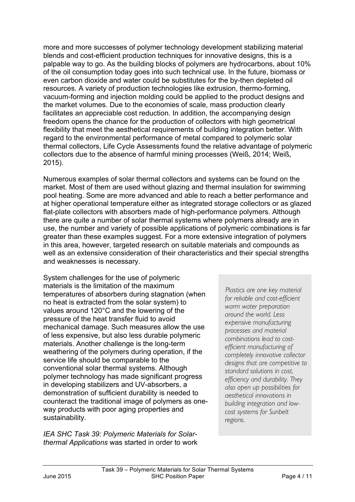more and more successes of polymer technology development stabilizing material blends and cost-efficient production techniques for innovative designs, this is a palpable way to go. As the building blocks of polymers are hydrocarbons, about 10% of the oil consumption today goes into such technical use. In the future, biomass or even carbon dioxide and water could be substitutes for the by-then depleted oil resources. A variety of production technologies like extrusion, thermo-forming, vacuum-forming and injection molding could be applied to the product designs and the market volumes. Due to the economies of scale, mass production clearly facilitates an appreciable cost reduction. In addition, the accompanying design freedom opens the chance for the production of collectors with high geometrical flexibility that meet the aesthetical requirements of building integration better. With regard to the environmental performance of metal compared to polymeric solar thermal collectors, Life Cycle Assessments found the relative advantage of polymeric collectors due to the absence of harmful mining processes (Weiß, 2014; Weiß, 2015).

Numerous examples of solar thermal collectors and systems can be found on the market. Most of them are used without glazing and thermal insulation for swimming pool heating. Some are more advanced and able to reach a better performance and at higher operational temperature either as integrated storage collectors or as glazed flat-plate collectors with absorbers made of high-performance polymers. Although there are quite a number of solar thermal systems where polymers already are in use, the number and variety of possible applications of polymeric combinations is far greater than these examples suggest. For a more extensive integration of polymers in this area, however, targeted research on suitable materials and compounds as well as an extensive consideration of their characteristics and their special strengths and weaknesses is necessary.

System challenges for the use of polymeric materials is the limitation of the maximum temperatures of absorbers during stagnation (when no heat is extracted from the solar system) to values around 120°C and the lowering of the pressure of the heat transfer fluid to avoid mechanical damage. Such measures allow the use of less expensive, but also less durable polymeric materials. Another challenge is the long-term weathering of the polymers during operation, if the service life should be comparable to the conventional solar thermal systems. Although polymer technology has made significant progress in developing stabilizers and UV-absorbers, a demonstration of sufficient durability is needed to counteract the traditional image of polymers as oneway products with poor aging properties and sustainability.

*IEA SHC Task 39: Polymeric Materials for Solarthermal Applications* was started in order to work

 *Plastics are one key material for reliable and cost-efficient warm water preparation around the world. Less expensive manufacturing processes and material combinations lead to costefficient manufacturing of completely innovative collector designs that are competitive to standard solutions in cost, efficiency and durability. They also open up possibilities for aesthetical innovations in building integration and lowcost systems for Sunbelt regions*.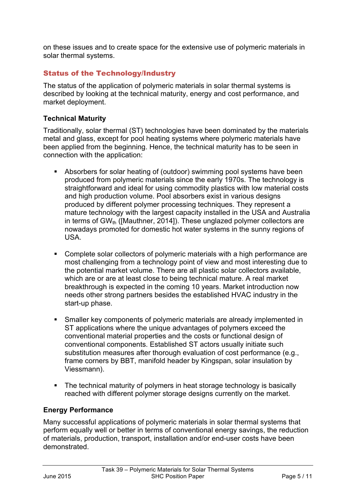on these issues and to create space for the extensive use of polymeric materials in solar thermal systems.

## Status of the Technology/Industry

The status of the application of polymeric materials in solar thermal systems is described by looking at the technical maturity, energy and cost performance, and market deployment.

#### **Technical Maturity**

Traditionally, solar thermal (ST) technologies have been dominated by the materials metal and glass, except for pool heating systems where polymeric materials have been applied from the beginning. Hence, the technical maturity has to be seen in connection with the application:

- Absorbers for solar heating of (outdoor) swimming pool systems have been produced from polymeric materials since the early 1970s. The technology is straightforward and ideal for using commodity plastics with low material costs and high production volume. Pool absorbers exist in various designs produced by different polymer processing techniques. They represent a mature technology with the largest capacity installed in the USA and Australia in terms of  $GW_{th}$  ([Mauthner, 2014]). These unglazed polymer collectors are nowadays promoted for domestic hot water systems in the sunny regions of USA.
- Complete solar collectors of polymeric materials with a high performance are most challenging from a technology point of view and most interesting due to the potential market volume. There are all plastic solar collectors available, which are or are at least close to being technical mature. A real market breakthrough is expected in the coming 10 years. Market introduction now needs other strong partners besides the established HVAC industry in the start-up phase.
- Smaller key components of polymeric materials are already implemented in ST applications where the unique advantages of polymers exceed the conventional material properties and the costs or functional design of conventional components. Established ST actors usually initiate such substitution measures after thorough evaluation of cost performance (e.g., frame corners by BBT, manifold header by Kingspan, solar insulation by Viessmann).
- The technical maturity of polymers in heat storage technology is basically reached with different polymer storage designs currently on the market.

#### **Energy Performance**

Many successful applications of polymeric materials in solar thermal systems that perform equally well or better in terms of conventional energy savings, the reduction of materials, production, transport, installation and/or end-user costs have been demonstrated.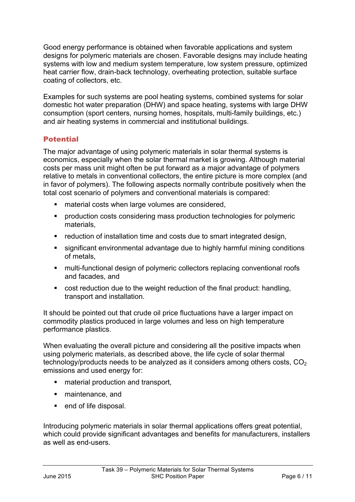Good energy performance is obtained when favorable applications and system designs for polymeric materials are chosen. Favorable designs may include heating systems with low and medium system temperature, low system pressure, optimized heat carrier flow, drain-back technology, overheating protection, suitable surface coating of collectors, etc.

Examples for such systems are pool heating systems, combined systems for solar domestic hot water preparation (DHW) and space heating, systems with large DHW consumption (sport centers, nursing homes, hospitals, multi-family buildings, etc.) and air heating systems in commercial and institutional buildings.

#### **Potential**

The major advantage of using polymeric materials in solar thermal systems is economics, especially when the solar thermal market is growing. Although material costs per mass unit might often be put forward as a major advantage of polymers relative to metals in conventional collectors, the entire picture is more complex (and in favor of polymers). The following aspects normally contribute positively when the total cost scenario of polymers and conventional materials is compared:

- material costs when large volumes are considered,
- production costs considering mass production technologies for polymeric materials,
- reduction of installation time and costs due to smart integrated design,
- significant environmental advantage due to highly harmful mining conditions of metals,
- multi-functional design of polymeric collectors replacing conventional roofs and facades, and
- § cost reduction due to the weight reduction of the final product: handling, transport and installation.

It should be pointed out that crude oil price fluctuations have a larger impact on commodity plastics produced in large volumes and less on high temperature performance plastics.

When evaluating the overall picture and considering all the positive impacts when using polymeric materials, as described above, the life cycle of solar thermal technology/products needs to be analyzed as it considers among others costs,  $CO<sub>2</sub>$ emissions and used energy for:

- material production and transport,
- maintenance, and
- end of life disposal.

Introducing polymeric materials in solar thermal applications offers great potential, which could provide significant advantages and benefits for manufacturers, installers as well as end-users.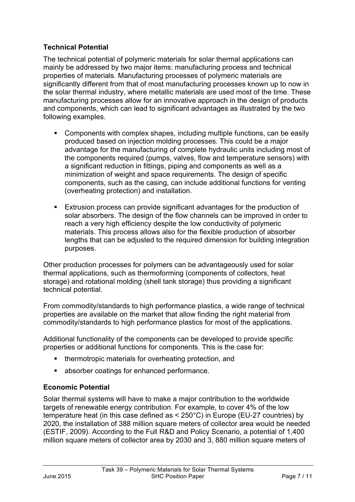## **Technical Potential**

The technical potential of polymeric materials for solar thermal applications can mainly be addressed by two major items: manufacturing process and technical properties of materials. Manufacturing processes of polymeric materials are significantly different from that of most manufacturing processes known up to now in the solar thermal industry, where metallic materials are used most of the time. These manufacturing processes allow for an innovative approach in the design of products and components, which can lead to significant advantages as illustrated by the two following examples.

- Components with complex shapes, including multiple functions, can be easily produced based on injection molding processes. This could be a major advantage for the manufacturing of complete hydraulic units including most of the components required (pumps, valves, flow and temperature sensors) with a significant reduction in fittings, piping and components as well as a minimization of weight and space requirements. The design of specific components, such as the casing, can include additional functions for venting (overheating protection) and installation.
- § Extrusion process can provide significant advantages for the production of solar absorbers. The design of the flow channels can be improved in order to reach a very high efficiency despite the low conductivity of polymeric materials. This process allows also for the flexible production of absorber lengths that can be adjusted to the required dimension for building integration purposes.

Other production processes for polymers can be advantageously used for solar thermal applications, such as thermoforming (components of collectors, heat storage) and rotational molding (shell tank storage) thus providing a significant technical potential.

From commodity/standards to high performance plastics, a wide range of technical properties are available on the market that allow finding the right material from commodity/standards to high performance plastics for most of the applications.

Additional functionality of the components can be developed to provide specific properties or additional functions for components. This is the case for:

- thermotropic materials for overheating protection, and
- absorber coatings for enhanced performance.

#### **Economic Potential**

Solar thermal systems will have to make a major contribution to the worldwide targets of renewable energy contribution. For example, to cover 4% of the low temperature heat (in this case defined as < 250°C) in Europe (EU-27 countries) by 2020, the installation of 388 million square meters of collector area would be needed (ESTIF, 2009). According to the Full R&D and Policy Scenario, a potential of 1,400 million square meters of collector area by 2030 and 3, 880 million square meters of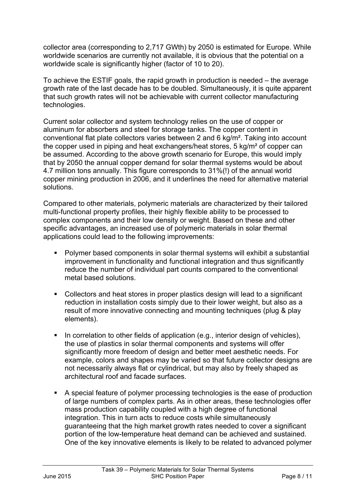collector area (corresponding to 2,717 GWth) by 2050 is estimated for Europe. While worldwide scenarios are currently not available, it is obvious that the potential on a worldwide scale is significantly higher (factor of 10 to 20).

To achieve the ESTIF goals, the rapid growth in production is needed – the average growth rate of the last decade has to be doubled. Simultaneously, it is quite apparent that such growth rates will not be achievable with current collector manufacturing technologies.

Current solar collector and system technology relies on the use of copper or aluminum for absorbers and steel for storage tanks. The copper content in conventional flat plate collectors varies between 2 and 6 kg/m². Taking into account the copper used in piping and heat exchangers/heat stores, 5 kg/m² of copper can be assumed. According to the above growth scenario for Europe, this would imply that by 2050 the annual copper demand for solar thermal systems would be about 4.7 million tons annually. This figure corresponds to 31%(!) of the annual world copper mining production in 2006, and it underlines the need for alternative material solutions.

Compared to other materials, polymeric materials are characterized by their tailored multi-functional property profiles, their highly flexible ability to be processed to complex components and their low density or weight. Based on these and other specific advantages, an increased use of polymeric materials in solar thermal applications could lead to the following improvements:

- Polymer based components in solar thermal systems will exhibit a substantial improvement in functionality and functional integration and thus significantly reduce the number of individual part counts compared to the conventional metal based solutions.
- Collectors and heat stores in proper plastics design will lead to a significant reduction in installation costs simply due to their lower weight, but also as a result of more innovative connecting and mounting techniques (plug & play elements).
- In correlation to other fields of application (e.g., interior design of vehicles), the use of plastics in solar thermal components and systems will offer significantly more freedom of design and better meet aesthetic needs. For example, colors and shapes may be varied so that future collector designs are not necessarily always flat or cylindrical, but may also by freely shaped as architectural roof and facade surfaces.
- § A special feature of polymer processing technologies is the ease of production of large numbers of complex parts. As in other areas, these technologies offer mass production capability coupled with a high degree of functional integration. This in turn acts to reduce costs while simultaneously guaranteeing that the high market growth rates needed to cover a significant portion of the low-temperature heat demand can be achieved and sustained. One of the key innovative elements is likely to be related to advanced polymer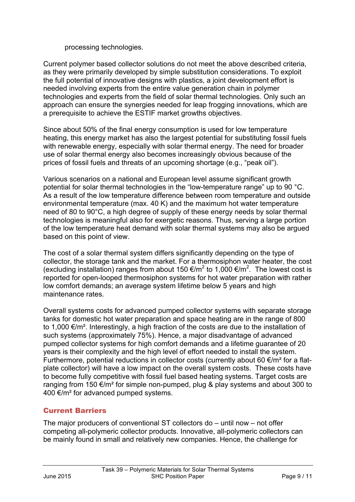processing technologies.

Current polymer based collector solutions do not meet the above described criteria, as they were primarily developed by simple substitution considerations. To exploit the full potential of innovative designs with plastics, a joint development effort is needed involving experts from the entire value generation chain in polymer technologies and experts from the field of solar thermal technologies. Only such an approach can ensure the synergies needed for leap frogging innovations, which are a prerequisite to achieve the ESTIF market growths objectives.

Since about 50% of the final energy consumption is used for low temperature heating, this energy market has also the largest potential for substituting fossil fuels with renewable energy, especially with solar thermal energy. The need for broader use of solar thermal energy also becomes increasingly obvious because of the prices of fossil fuels and threats of an upcoming shortage (e.g., "peak oil").

Various scenarios on a national and European level assume significant growth potential for solar thermal technologies in the "low-temperature range" up to 90 °C. As a result of the low temperature difference between room temperature and outside environmental temperature (max. 40 K) and the maximum hot water temperature need of 80 to 90°C, a high degree of supply of these energy needs by solar thermal technologies is meaningful also for exergetic reasons. Thus, serving a large portion of the low temperature heat demand with solar thermal systems may also be argued based on this point of view.

The cost of a solar thermal system differs significantly depending on the type of collector, the storage tank and the market. For a thermosiphon water heater, the cost (excluding installation) ranges from about 150 €/m<sup>2</sup> to 1,000 €/m<sup>2</sup>. The lowest cost is reported for open-looped thermosiphon systems for hot water preparation with rather low comfort demands; an average system lifetime below 5 years and high maintenance rates.

Overall systems costs for advanced pumped collector systems with separate storage tanks for domestic hot water preparation and space heating are in the range of 800 to 1,000 €/m². Interestingly, a high fraction of the costs are due to the installation of such systems (approximately 75%). Hence, a major disadvantage of advanced pumped collector systems for high comfort demands and a lifetime guarantee of 20 years is their complexity and the high level of effort needed to install the system. Furthermore, potential reductions in collector costs (currently about 60  $\epsilon/m^2$  for a flatplate collector) will have a low impact on the overall system costs. These costs have to become fully competitive with fossil fuel based heating systems. Target costs are ranging from 150  $\epsilon/m^2$  for simple non-pumped, plug & play systems and about 300 to 400 €/m<sup>2</sup> for advanced pumped systems.

# Current Barriers

The major producers of conventional ST collectors do – until now – not offer competing all-polymeric collector products. Innovative, all-polymeric collectors can be mainly found in small and relatively new companies. Hence, the challenge for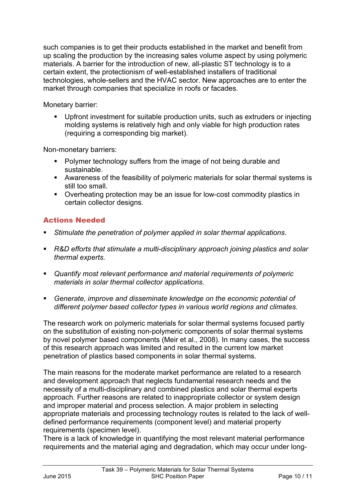such companies is to get their products established in the market and benefit from up scaling the production by the increasing sales volume aspect by using polymeric materials. A barrier for the introduction of new, all-plastic ST technology is to a certain extent, the protectionism of well-established installers of traditional technologies, whole-sellers and the HVAC sector. New approaches are to enter the market through companies that specialize in roofs or facades.

Monetary barrier:

■ Upfront investment for suitable production units, such as extruders or injecting molding systems is relatively high and only viable for high production rates (requiring a corresponding big market).

Non-monetary barriers:

- **Polymer technology suffers from the image of not being durable and** sustainable.
- § Awareness of the feasibility of polymeric materials for solar thermal systems is still too small.
- Overheating protection may be an issue for low-cost commodity plastics in certain collector designs.

# Actions Needed

- § *Stimulate the penetration of polymer applied in solar thermal applications.*
- § *R&D efforts that stimulate a multi-disciplinary approach joining plastics and solar thermal experts.*
- § *Quantify most relevant performance and material requirements of polymeric materials in solar thermal collector applications.*
- § *Generate, improve and disseminate knowledge on the economic potential of different polymer based collector types in various world regions and climates.*

The research work on polymeric materials for solar thermal systems focused partly on the substitution of existing non-polymeric components of solar thermal systems by novel polymer based components (Meir et al., 2008). In many cases, the success of this research approach was limited and resulted in the current low market penetration of plastics based components in solar thermal systems.

The main reasons for the moderate market performance are related to a research and development approach that neglects fundamental research needs and the necessity of a multi-disciplinary and combined plastics and solar thermal experts approach. Further reasons are related to inappropriate collector or system design and improper material and process selection. A major problem in selecting appropriate materials and processing technology routes is related to the lack of welldefined performance requirements (component level) and material property requirements (specimen level).

There is a lack of knowledge in quantifying the most relevant material performance requirements and the material aging and degradation, which may occur under long